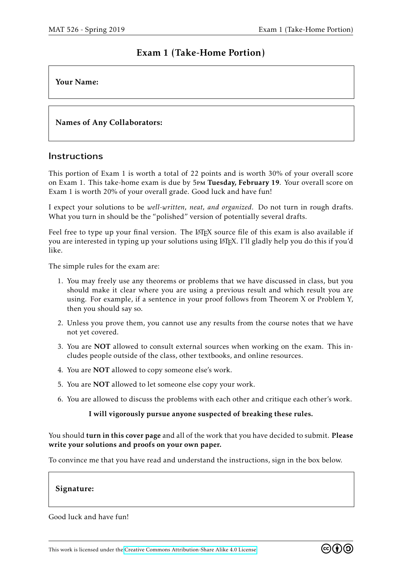# Exam 1 (Take-Home Portion)

## Your Name:

# Names of Any Collaborators:

## **Instructions**

This portion of Exam 1 is worth a total of 22 points and is worth 30% of your overall score on Exam 1. This take-home exam is due by 5pm Tuesday, February 19. Your overall score on Exam 1 is worth 20% of your overall grade. Good luck and have fun!

I expect your solutions to be *well-written, neat, and organized*. Do not turn in rough drafts. What you turn in should be the "polished" version of potentially several drafts.

Feel free to type up your final version. The LATEX source file of this exam is also available if you are interested in typing up your solutions using LATEX. I'll gladly help you do this if you'd like.

The simple rules for the exam are:

- 1. You may freely use any theorems or problems that we have discussed in class, but you should make it clear where you are using a previous result and which result you are using. For example, if a sentence in your proof follows from Theorem X or Problem Y, then you should say so.
- 2. Unless you prove them, you cannot use any results from the course notes that we have not yet covered.
- 3. You are NOT allowed to consult external sources when working on the exam. This includes people outside of the class, other textbooks, and online resources.
- 4. You are NOT allowed to copy someone else's work.
- 5. You are NOT allowed to let someone else copy your work.
- 6. You are allowed to discuss the problems with each other and critique each other's work.

### I will vigorously pursue anyone suspected of breaking these rules.

You should turn in this cover page and all of the work that you have decided to submit. Please write your solutions and proofs on your own paper.

To convince me that you have read and understand the instructions, sign in the box below.

### Signature:

Good luck and have fun!

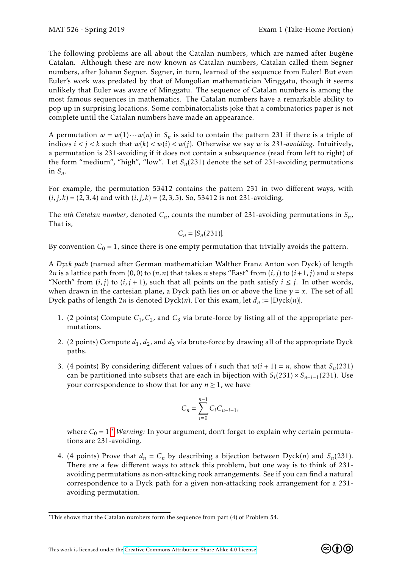The following problems are all about the Catalan numbers, which are named after Eugène Catalan. Although these are now known as Catalan numbers, Catalan called them Segner numbers, after Johann Segner. Segner, in turn, learned of the sequence from Euler! But even Euler's work was predated by that of Mongolian mathematician Minggatu, though it seems unlikely that Euler was aware of Minggatu. The sequence of Catalan numbers is among the most famous sequences in mathematics. The Catalan numbers have a remarkable ability to pop up in surprising locations. Some combinatorialists joke that a combinatorics paper is not complete until the Catalan numbers have made an appearance.

A permutation  $w = w(1) \cdots w(n)$  in  $S_n$  is said to contain the pattern 231 if there is a triple of indices  $i < j < k$  such that  $w(k) < w(i) < w(j)$ . Otherwise we say w is 231-avoiding. Intuitively, a permutation is 231-avoiding if it does not contain a subsequence (read from left to right) of the form "medium", "high", "low". Let  $S_n(231)$  denote the set of 231-avoiding permutations in  $S_n$ .

For example, the permutation 53412 contains the pattern 231 in two different ways, with  $(i, j, k) = (2, 3, 4)$  and with  $(i, j, k) = (2, 3, 5)$ . So, 53412 is not 231-avoiding.

The *nth Catalan number*, denoted  $C_n$ , counts the number of 231-avoiding permutations in  $S_n$ , That is,

$$
C_n = |S_n(231)|.
$$

By convention  $C_0 = 1$ , since there is one empty permutation that trivially avoids the pattern.

A *Dyck path* (named after German mathematician Walther Franz Anton von Dyck) of length 2*n* is a lattice path from (0,0) to  $(n, n)$  that takes *n* steps "East" from  $(i, j)$  to  $(i + 1, j)$  and *n* steps "North" from  $(i, j)$  to  $(i, j + 1)$ , such that all points on the path satisfy  $i \leq j$ . In other words, when drawn in the cartesian plane, a Dyck path lies on or above the line  $y = x$ . The set of all Dyck paths of length 2*n* is denoted Dyck(*n*). For this exam, let  $d_n := |Dyck(n)|$ .

- 1. (2 points) Compute *C*1*,C*2, and *C*<sup>3</sup> via brute-force by listing all of the appropriate permutations.
- 2. (2 points) Compute  $d_1$ ,  $d_2$ , and  $d_3$  via brute-force by drawing all of the appropriate Dyck paths.
- 3. (4 points) By considering different values of *i* such that  $w(i + 1) = n$ , show that  $S_n(231)$ can be partitioned into subsets that are each in bijection with  $S_i(231) \times S_{n-i-1}(231)$ . Use your correspondence to show that for any  $n \geq 1$ , we have

$$
C_n = \sum_{i=0}^{n-1} C_i C_{n-i-1},
$$

where  $C_0 = 1$ .<sup>\*</sup> *Warning*: In your argument, don't forget to explain why certain permutations are 231-avoiding.

4. (4 points) Prove that  $d_n = C_n$  by describing a bijection between Dyck(*n*) and  $S_n(231)$ . There are a few different ways to attack this problem, but one way is to think of 231 avoiding permutations as non-attacking rook arrangements. See if you can find a natural correspondence to a Dyck path for a given non-attacking rook arrangement for a 231 avoiding permutation.



<span id="page-1-0"></span><sup>∗</sup>This shows that the Catalan numbers form the sequence from part (4) of Problem 54.